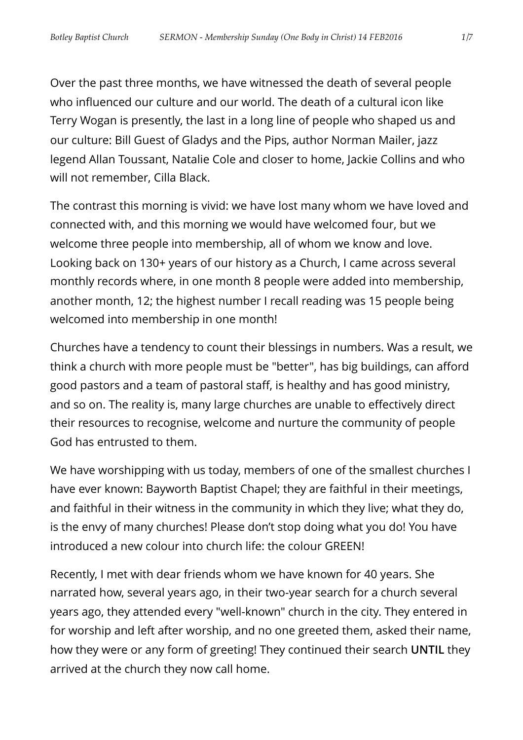Over the past three months, we have witnessed the death of several people who influenced our culture and our world. The death of a cultural icon like Terry Wogan is presently, the last in a long line of people who shaped us and our culture: Bill Guest of Gladys and the Pips, author Norman Mailer, jazz legend Allan Toussant, Natalie Cole and closer to home, Jackie Collins and who will not remember, Cilla Black.

The contrast this morning is vivid: we have lost many whom we have loved and connected with, and this morning we would have welcomed four, but we welcome three people into membership, all of whom we know and love. Looking back on 130+ years of our history as a Church, I came across several monthly records where, in one month 8 people were added into membership, another month, 12; the highest number I recall reading was 15 people being welcomed into membership in one month!

Churches have a tendency to count their blessings in numbers. Was a result, we think a church with more people must be "better", has big buildings, can afford good pastors and a team of pastoral staff, is healthy and has good ministry, and so on. The reality is, many large churches are unable to effectively direct their resources to recognise, welcome and nurture the community of people God has entrusted to them.

We have worshipping with us today, members of one of the smallest churches I have ever known: Bayworth Baptist Chapel; they are faithful in their meetings, and faithful in their witness in the community in which they live; what they do, is the envy of many churches! Please don't stop doing what you do! You have introduced a new colour into church life: the colour GREEN!

Recently, I met with dear friends whom we have known for 40 years. She narrated how, several years ago, in their two-year search for a church several years ago, they attended every "well-known" church in the city. They entered in for worship and left after worship, and no one greeted them, asked their name, how they were or any form of greeting! They continued their search **UNTIL** they arrived at the church they now call home.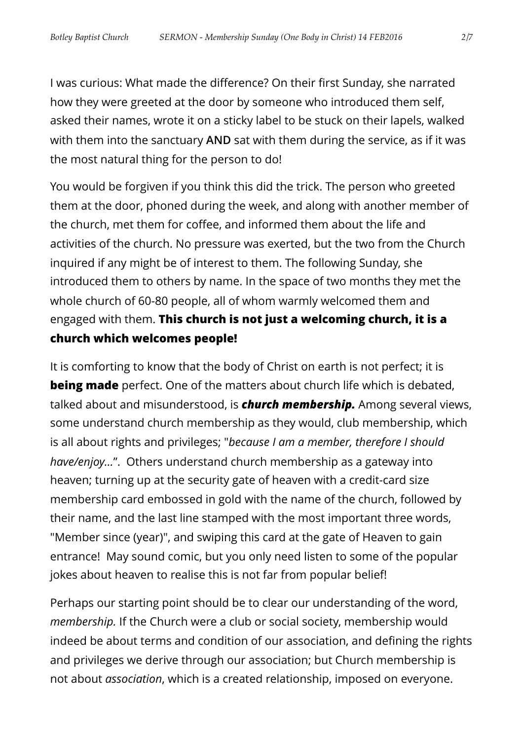I was curious: What made the difference? On their first Sunday, she narrated how they were greeted at the door by someone who introduced them self, asked their names, wrote it on a sticky label to be stuck on their lapels, walked with them into the sanctuary **AND** sat with them during the service, as if it was the most natural thing for the person to do!

You would be forgiven if you think this did the trick. The person who greeted them at the door, phoned during the week, and along with another member of the church, met them for coffee, and informed them about the life and activities of the church. No pressure was exerted, but the two from the Church inquired if any might be of interest to them. The following Sunday, she introduced them to others by name. In the space of two months they met the whole church of 60-80 people, all of whom warmly welcomed them and engaged with them. **This church is not just a welcoming church, it is a church which welcomes people!**

It is comforting to know that the body of Christ on earth is not perfect; it is **being made** perfect. One of the matters about church life which is debated, talked about and misunderstood, is *church membership.* Among several views, some understand church membership as they would, club membership, which is all about rights and privileges; "*because I am a member, therefore I should have/enjoy…*". Others understand church membership as a gateway into heaven; turning up at the security gate of heaven with a credit-card size membership card embossed in gold with the name of the church, followed by their name, and the last line stamped with the most important three words, "Member since (year)", and swiping this card at the gate of Heaven to gain entrance! May sound comic, but you only need listen to some of the popular jokes about heaven to realise this is not far from popular belief!

Perhaps our starting point should be to clear our understanding of the word, *membership.* If the Church were a club or social society, membership would indeed be about terms and condition of our association, and defining the rights and privileges we derive through our association; but Church membership is not about *association*, which is a created relationship, imposed on everyone.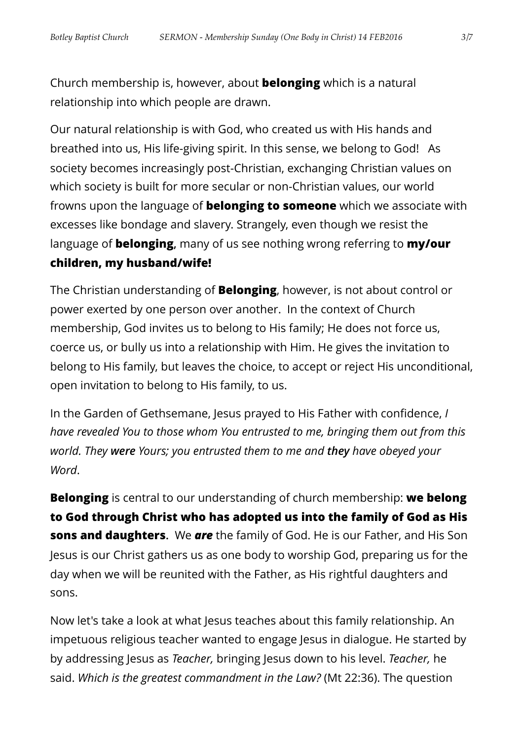Church membership is, however, about **belonging** which is a natural relationship into which people are drawn.

Our natural relationship is with God, who created us with His hands and breathed into us, His life-giving spirit. In this sense, we belong to God! As society becomes increasingly post-Christian, exchanging Christian values on which society is built for more secular or non-Christian values, our world frowns upon the language of **belonging to someone** which we associate with excesses like bondage and slavery. Strangely, even though we resist the language of **belonging,** many of us see nothing wrong referring to **my/our children, my husband/wife!**

The Christian understanding of **Belonging**, however, is not about control or power exerted by one person over another. In the context of Church membership, God invites us to belong to His family; He does not force us, coerce us, or bully us into a relationship with Him. He gives the invitation to belong to His family, but leaves the choice, to accept or reject His unconditional, open invitation to belong to His family, to us.

In the Garden of Gethsemane, Jesus prayed to His Father with confidence, *I have revealed You to those whom You entrusted to me, bringing them out from this world. They were Yours; you entrusted them to me and they have obeyed your Word*.

**Belonging** is central to our understanding of church membership: **we belong to God through Christ who has adopted us into the family of God as His sons and daughters.** We *are* the family of God. He is our Father, and His Son Jesus is our Christ gathers us as one body to worship God, preparing us for the day when we will be reunited with the Father, as His rightful daughters and sons.

Now let's take a look at what Jesus teaches about this family relationship. An impetuous religious teacher wanted to engage Jesus in dialogue. He started by by addressing Jesus as *Teacher,* bringing Jesus down to his level. *Teacher,* he said. *Which is the greatest commandment in the Law?* (Mt 22:36). The question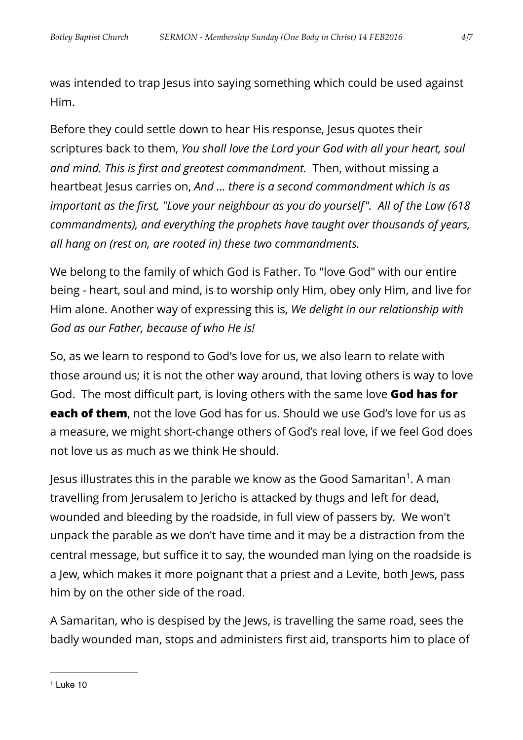was intended to trap Jesus into saying something which could be used against Him.

Before they could settle down to hear His response, Jesus quotes their scriptures back to them, *You shall love the Lord your God with all your heart, soul and mind. This is first and greatest commandment.* Then, without missing a heartbeat Jesus carries on, *And … there is a second commandment which is as important as the first, "Love your neighbour as you do yourself". All of the Law (618 commandments), and everything the prophets have taught over thousands of years, all hang on (rest on, are rooted in) these two commandments.*

We belong to the family of which God is Father. To "love God" with our entire being - heart, soul and mind, is to worship only Him, obey only Him, and live for Him alone. Another way of expressing this is, *We delight in our relationship with God as our Father, because of who He is!* 

So, as we learn to respond to God's love for us, we also learn to relate with those around us; it is not the other way around, that loving others is way to love God. The most difficult part, is loving others with the same love **God has for each of them**, not the love God has for us. Should we use God's love for us as a measure, we might short-change others of God's real love, if we feel God does not love us as much as we think He should.

<span id="page-3-1"></span>Jesus illustrates this in the parable we know as the Good Samaritan<sup>1</sup>[.](#page-3-0) A man travelling from Jerusalem to Jericho is attacked by thugs and left for dead, wounded and bleeding by the roadside, in full view of passers by. We won't unpack the parable as we don't have time and it may be a distraction from the central message, but suffice it to say, the wounded man lying on the roadside is a Jew, which makes it more poignant that a priest and a Levite, both Jews, pass him by on the other side of the road.

<span id="page-3-0"></span>A Samaritan, who is despised by the Jews, is travelling the same road, sees the badly wounded man, stops and administers first aid, transports him to place of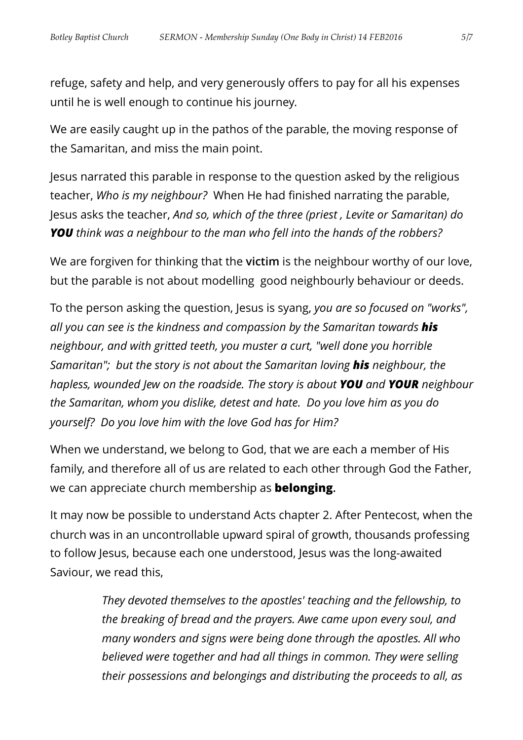refuge, safety and help, and very generously offers to pay for all his expenses until he is well enough to continue his journey.

We are easily caught up in the pathos of the parable, the moving response of the Samaritan, and miss the main point.

Jesus narrated this parable in response to the question asked by the religious teacher, *Who is my neighbour?* When He had finished narrating the parable, Jesus asks the teacher, *And so, which of the three (priest , Levite or Samaritan) do YOU think was a neighbour to the man who fell into the hands of the robbers?* 

We are forgiven for thinking that the **victim** is the neighbour worthy of our love, but the parable is not about modelling good neighbourly behaviour or deeds.

To the person asking the question, Jesus is syang, *you are so focused on "works", all you can see is the kindness and compassion by the Samaritan towards his neighbour, and with gritted teeth, you muster a curt, "well done you horrible Samaritan"; but the story is not about the Samaritan loving his neighbour, the hapless, wounded Jew on the roadside. The story is about YOU and YOUR neighbour the Samaritan, whom you dislike, detest and hate. Do you love him as you do yourself? Do you love him with the love God has for Him?* 

When we understand, we belong to God, that we are each a member of His family, and therefore all of us are related to each other through God the Father, we can appreciate church membership as **belonging.**

It may now be possible to understand Acts chapter 2. After Pentecost, when the church was in an uncontrollable upward spiral of growth, thousands professing to follow Jesus, because each one understood, Jesus was the long-awaited Saviour, we read this,

> *They devoted themselves to the apostles' teaching and the fellowship, to the breaking of bread and the prayers. Awe came upon every soul, and many wonders and signs were being done through the apostles. All who believed were together and had all things in common. They were selling their possessions and belongings and distributing the proceeds to all, as*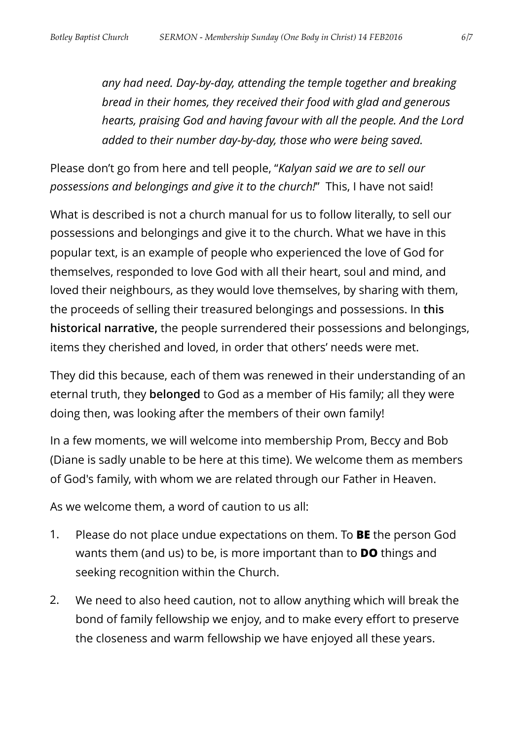*any had need. Day-by-day, attending the temple together and breaking bread in their homes, they received their food with glad and generous hearts, praising God and having favour with all the people. And the Lord added to their number day-by-day, those who were being saved.* 

Please don't go from here and tell people, "*Kalyan said we are to sell our possessions and belongings and give it to the church!*" This, I have not said!

What is described is not a church manual for us to follow literally, to sell our possessions and belongings and give it to the church. What we have in this popular text, is an example of people who experienced the love of God for themselves, responded to love God with all their heart, soul and mind, and loved their neighbours, as they would love themselves, by sharing with them, the proceeds of selling their treasured belongings and possessions. In **this historical narrative,** the people surrendered their possessions and belongings, items they cherished and loved, in order that others' needs were met.

They did this because, each of them was renewed in their understanding of an eternal truth, they **belonged** to God as a member of His family; all they were doing then, was looking after the members of their own family!

In a few moments, we will welcome into membership Prom, Beccy and Bob (Diane is sadly unable to be here at this time). We welcome them as members of God's family, with whom we are related through our Father in Heaven.

As we welcome them, a word of caution to us all:

- 1. Please do not place undue expectations on them. To **BE** the person God wants them (and us) to be, is more important than to **DO** things and seeking recognition within the Church.
- 2. We need to also heed caution, not to allow anything which will break the bond of family fellowship we enjoy, and to make every effort to preserve the closeness and warm fellowship we have enjoyed all these years.